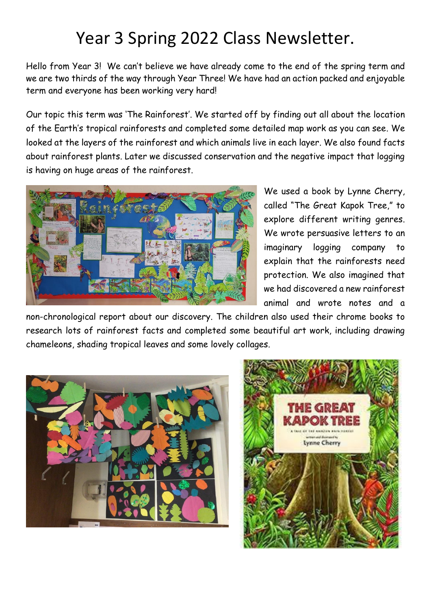## Year 3 Spring 2022 Class Newsletter.

Hello from Year 3! We can't believe we have already come to the end of the spring term and we are two thirds of the way through Year Three! We have had an action packed and enjoyable term and everyone has been working very hard!

Our topic this term was 'The Rainforest'. We started off by finding out all about the location of the Earth's tropical rainforests and completed some detailed map work as you can see. We looked at the layers of the rainforest and which animals live in each layer. We also found facts about rainforest plants. Later we discussed conservation and the negative impact that logging is having on huge areas of the rainforest.



We used a book by Lynne Cherry, called "The Great Kapok Tree," to explore different writing genres. We wrote persuasive letters to an imaginary logging company to explain that the rainforests need protection. We also imagined that we had discovered a new rainforest animal and wrote notes and a

non-chronological report about our discovery. The children also used their chrome books to research lots of rainforest facts and completed some beautiful art work, including drawing chameleons, shading tropical leaves and some lovely collages.